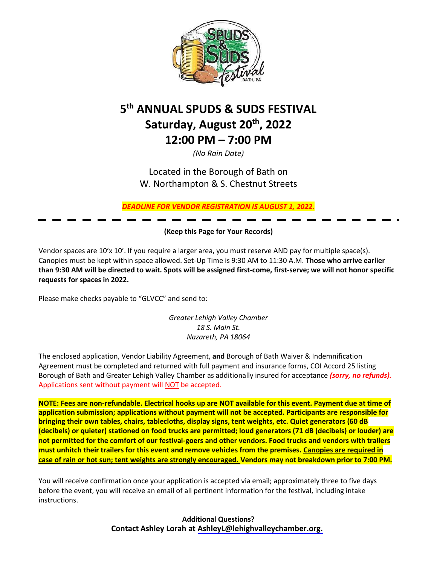

# **5 th ANNUAL SPUDS & SUDS FESTIVAL Saturday, August 20th, 2022 12:00 PM – 7:00 PM**

*(No Rain Date)*

Located in the Borough of Bath on W. Northampton & S. Chestnut Streets

*DEADLINE FOR VENDOR REGISTRATION IS AUGUST 1, 2022.*

**(Keep this Page for Your Records)**

Vendor spaces are 10'x 10'. If you require a larger area, you must reserve AND pay for multiple space(s). Canopies must be kept within space allowed. Set-Up Time is 9:30 AM to 11:30 A.M. **Those who arrive earlier than 9:30 AM will be directed to wait. Spots will be assigned first-come, first-serve; we will not honor specific requests for spaces in 2022.**

Please make checks payable to "GLVCC" and send to:

*Greater Lehigh Valley Chamber 18 S. Main St. Nazareth, PA 18064*

The enclosed application, Vendor Liability Agreement, **and** Borough of Bath Waiver & Indemnification Agreement must be completed and returned with full payment and insurance forms, COI Accord 25 listing Borough of Bath and Greater Lehigh Valley Chamber as additionally insured for acceptance *(sorry, no refunds).*  Applications sent without payment will NOT be accepted.

**NOTE: Fees are non-refundable. Electrical hooks up are NOT available for this event. Payment due at time of application submission; applications without payment will not be accepted. Participants are responsible for bringing their own tables, chairs, tablecloths, display signs, tent weights, etc. Quiet generators (60 dB (decibels) or quieter) stationed on food trucks are permitted; loud generators (71 dB (decibels) or louder) are not permitted for the comfort of our festival-goers and other vendors. Food trucks and vendors with trailers must unhitch their trailers for this event and remove vehicles from the premises. Canopies are required in case of rain or hot sun; tent weights are strongly encouraged. Vendors may not breakdown prior to 7:00 PM.**

You will receive confirmation once your application is accepted via email; approximately three to five days before the event, you will receive an email of all pertinent information for the festival, including intake instructions.

> **Additional Questions? Contact Ashley Lorah at [AshleyL@lehighvalleychamber.org.](mailto:LaurenB@lehighvalleychamber.org)**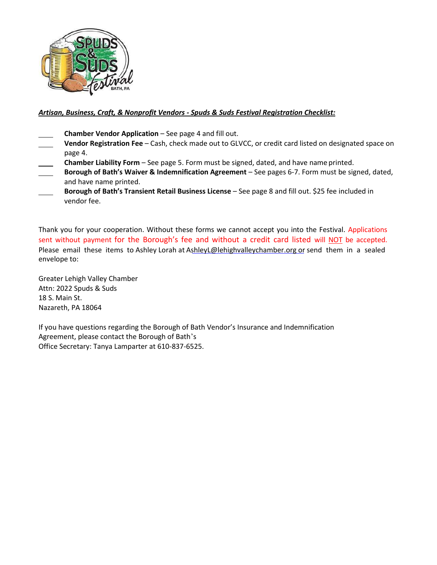

### *Artisan, Business, Craft, & Nonprofit Vendors - Spuds & Suds Festival Registration Checklist:*

- **Chamber Vendor Application**  See page 4 and fill out.
- **Vendor Registration Fee**  Cash, check made out to GLVCC, or credit card listed on designated space on page 4.
- **Chamber Liability Form**  See page 5. Form must be signed, dated, and have name printed.
- **Borough of Bath's Waiver & Indemnification Agreement**  See pages 6-7. Form must be signed, dated, and have name printed.
- **Borough of Bath's Transient Retail Business License**  See page 8 and fill out. \$25 fee included in vendor fee.

Thank you for your cooperation. Without these forms we cannot accept you into the Festival. Applications sent without payment for the Borough's fee and without a credit card listed will NOT be accepted. envelope to: Please email these items to Ashley Lorah at [AshleyL@lehighvalleychamber.org](mailto:LaurenB@lehighvalleychamber.org) or send them in a sealed

Greater Lehigh Valley Chamber Attn: 2022 Spuds & Suds 18 S. Main St. Nazareth, PA 18064

If you have questions regarding the Borough of Bath Vendor's Insurance and Indemnification Agreement, please contact the Borough of Bath's Office Secretary: Tanya Lamparter at 610-837-6525.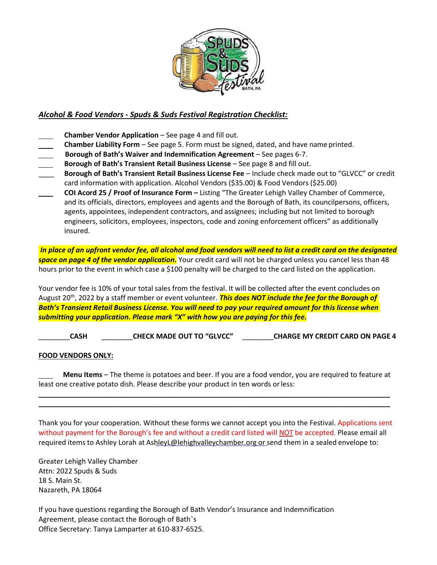

### *Alcohol & Food Vendors - Spuds & Suds Festival Registration Checklist:*

- **Chamber Vendor Application** See page 4 and fill out.
- **Chamber Liability Form**  See page 5. Form must be signed, dated, and have name printed.
- **Borough of Bath's Waiver and Indemnification Agreement**  See pages 6-7.
- **Borough of Bath's Transient Retail Business License**  See page 8 and fill out.
- \_\_\_\_ **Borough of Bath's Transient Retail Business License Fee**  Include check made out to "GLVCC" or credit card information with application. Alcohol Vendors (\$35.00) & Food Vendors (\$25.00)
- **COI Acord 25 / Proof of Insurance Form –** Listing "The Greater Lehigh Valley Chamber of Commerce, and its officials, directors, employees and agents and the Borough of Bath, its councilpersons, officers, agents, appointees, independent contractors, and assignees; including but not limited to borough engineers, solicitors, employees, inspectors, code and zoning enforcement officers" as additionally insured.

*In place of an upfront vendor fee, all alcohol and food vendors will need to list a credit card on the designated space on page 4 of the vendor application.* Your credit card will not be charged unless you cancel less than 48 hours prior to the event in which case a \$100 penalty will be charged to the card listed on the application.

Your vendor fee is 10% of your total sales from the festival. It will be collected after the event concludes on August 20th, 2022 by a staff member or event volunteer. *This does NOT include the fee for the Borough of Bath's Transient Retail Business License. You will need to pay your required amount for this license when submitting your application. Please mark "X" with how you are paying for this fee.*

\_\_\_\_\_\_\_\_**CASH** \_\_\_\_\_\_\_\_**CHECK MADE OUT TO "GLVCC"** \_\_\_\_\_\_\_\_**CHARGE MY CREDIT CARD ON PAGE 4**

### **FOOD VENDORS ONLY:**

**Menu Items** – The theme is potatoes and beer. If you are a food vendor, you are required to feature at least one creative potato dish. Please describe your product in ten words orless:

**\_\_\_\_\_\_\_\_\_\_\_\_\_\_\_\_\_\_\_\_\_\_\_\_\_\_\_\_\_\_\_\_\_\_\_\_\_\_\_\_\_\_\_\_\_\_\_\_\_\_\_\_\_\_\_\_\_\_\_\_\_\_\_\_\_\_\_\_\_\_\_\_\_\_\_\_\_\_\_\_\_\_\_\_\_\_\_\_\_\_ \_\_\_\_\_\_\_\_\_\_\_\_\_\_\_\_\_\_\_\_\_\_\_\_\_\_\_\_\_\_\_\_\_\_\_\_\_\_\_\_\_\_\_\_\_\_\_\_\_\_\_\_\_\_\_\_\_\_\_\_\_\_\_\_\_\_\_\_\_\_\_\_\_\_\_\_\_\_\_\_\_\_\_\_\_\_\_\_\_\_**

Thank you for your cooperation. Without these forms we cannot accept you into the Festival. Applications sent without payment for the Borough's fee and without a credit card listed will NOT be accepted. Please email all required items to Ashley Lorah at As[hleyL@lehighvalleychamber.org](mailto:LaurenB@lehighvalleychamber.org) or send them in a sealed envelope to:

Greater Lehigh Valley Chamber Attn: 2022 Spuds & Suds 18 S. Main St. Nazareth, PA 18064

If you have questions regarding the Borough of Bath Vendor's Insurance and Indemnification Agreement, please contact the Borough of Bath's Office Secretary: Tanya Lamparter at 610-837-6525.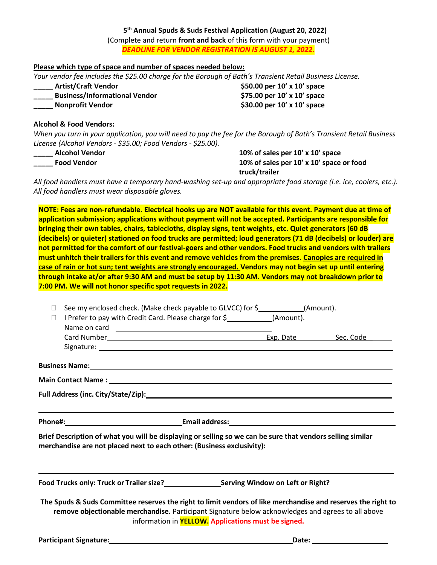### **5 th Annual Spuds & Suds Festival Application (August 20, 2022)**

(Complete and return **front and back** of this form with your payment) *DEADLINE FOR VENDOR REGISTRATION IS AUGUST 1, 2022.*

### **Please which type of space and number of spaces needed below:**

*Your vendor fee includes the \$25.00 charge for the Borough of Bath's Transient Retail Business License.*

\_\_\_\_\_ **Artist/Craft Vendor \$50.00 per 10' x 10' space \_\_\_\_\_ Business/Informational Vendor \$75.00 per 10' x 10' space \_\_\_\_\_ Nonprofit Vendor \$30.00 per 10' x 10' space** 

### **Alcohol & Food Vendors:**

*When you turn in your application, you will need to pay the fee for the Borough of Bath's Transient Retail Business License (Alcohol Vendors - \$35.00; Food Vendors - \$25.00).*

**\_\_\_\_\_ Alcohol Vendor 10% of sales per 10' x 10' space \_\_\_\_\_ Food Vendor 10% of sales per 10' x 10' space or food truck/trailer**

*All food handlers must have a temporary hand-washing set-up and appropriate food storage (i.e. ice, coolers, etc.). All food handlers must wear disposable gloves.* 

**NOTE: Fees are non-refundable. Electrical hooks up are NOT available for this event. Payment due at time of application submission; applications without payment will not be accepted. Participants are responsible for bringing their own tables, chairs, tablecloths, display signs, tent weights, etc. Quiet generators (60 dB (decibels) or quieter) stationed on food trucks are permitted; loud generators (71 dB (decibels) or louder) are not permitted for the comfort of our festival-goers and other vendors. Food trucks and vendors with trailers must unhitch their trailers for this event and remove vehicles from the premises. Canopies are required in case of rain or hot sun; tent weights are strongly encouraged. Vendors may not begin set up until entering through intake at/or after 9:30 AM and must be setup by 11:30 AM. Vendors may not breakdown prior to 7:00 PM. We will not honor specific spot requests in 2022.**

| See my enclosed check. (Make check payable to GLVCC) for \$_____________(Amount).<br>$\Box$ |                                                                                                                                                                                                                               |                                                                                                                                                                                                                                                                                                                                 |  |
|---------------------------------------------------------------------------------------------|-------------------------------------------------------------------------------------------------------------------------------------------------------------------------------------------------------------------------------|---------------------------------------------------------------------------------------------------------------------------------------------------------------------------------------------------------------------------------------------------------------------------------------------------------------------------------|--|
| $\Box$                                                                                      |                                                                                                                                                                                                                               | I Prefer to pay with Credit Card. Please charge for \$_____________(Amount).                                                                                                                                                                                                                                                    |  |
|                                                                                             |                                                                                                                                                                                                                               |                                                                                                                                                                                                                                                                                                                                 |  |
|                                                                                             |                                                                                                                                                                                                                               |                                                                                                                                                                                                                                                                                                                                 |  |
|                                                                                             |                                                                                                                                                                                                                               |                                                                                                                                                                                                                                                                                                                                 |  |
|                                                                                             |                                                                                                                                                                                                                               | Business Name: 1990 and 200 and 200 and 200 and 200 and 200 and 200 and 200 and 200 and 200 and 200 and 200 and 200 and 200 and 200 and 200 and 200 and 200 and 200 and 200 and 200 and 200 and 200 and 200 and 200 and 200 an                                                                                                  |  |
|                                                                                             |                                                                                                                                                                                                                               |                                                                                                                                                                                                                                                                                                                                 |  |
|                                                                                             |                                                                                                                                                                                                                               |                                                                                                                                                                                                                                                                                                                                 |  |
|                                                                                             |                                                                                                                                                                                                                               |                                                                                                                                                                                                                                                                                                                                 |  |
| merchandise are not placed next to each other: (Business exclusivity):                      |                                                                                                                                                                                                                               | Brief Description of what you will be displaying or selling so we can be sure that vendors selling similar                                                                                                                                                                                                                      |  |
|                                                                                             | the control of the control of the control of the control of the control of the control of the control of the control of the control of the control of the control of the control of the control of the control of the control | the control of the control of the control of the control of the control of the control of the control of the control of the control of the control of the control of the control of the control of the control of the control<br>Food Trucks only: Truck or Trailer size?<br><b>Exam Proof Serving Window on Left or Right?</b> |  |
|                                                                                             |                                                                                                                                                                                                                               | The Spuds & Suds Committee reserves the right to limit vendors of like merchandise and reserves the right to                                                                                                                                                                                                                    |  |
|                                                                                             |                                                                                                                                                                                                                               | remove objectionable merchandise. Participant Signature below acknowledges and agrees to all above                                                                                                                                                                                                                              |  |
|                                                                                             |                                                                                                                                                                                                                               | information in <b>YELLOW.</b> Applications must be signed.                                                                                                                                                                                                                                                                      |  |
|                                                                                             |                                                                                                                                                                                                                               |                                                                                                                                                                                                                                                                                                                                 |  |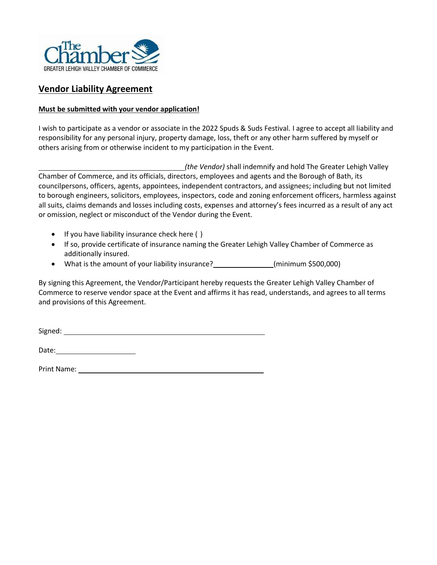

### **Vendor Liability Agreement**

### **Must be submitted with your vendor application!**

I wish to participate as a vendor or associate in the 2022 Spuds & Suds Festival*.* I agree to accept all liability and responsibility for any personal injury, property damage, loss, theft or any other harm suffered by myself or others arising from or otherwise incident to my participation in the Event.

*(the Vendor)* shall indemnify and hold The Greater Lehigh Valley Chamber of Commerce, and its officials, directors, employees and agents and the Borough of Bath, its councilpersons, officers, agents, appointees, independent contractors, and assignees; including but not limited to borough engineers, solicitors, employees, inspectors, code and zoning enforcement officers, harmless against all suits, claims demands and losses including costs, expenses and attorney's fees incurred as a result of any act or omission, neglect or misconduct of the Vendor during the Event.

- If you have liability insurance check here ( )
- If so, provide certificate of insurance naming the Greater Lehigh Valley Chamber of Commerce as additionally insured.
- What is the amount of your liability insurance? \_\_\_\_\_\_\_\_\_\_\_\_\_\_\_(minimum \$500,000)

By signing this Agreement, the Vendor/Participant hereby requests the Greater Lehigh Valley Chamber of Commerce to reserve vendor space at the Event and affirms it has read, understands, and agrees to all terms and provisions of this Agreement.

Signed:

Date: https://www.facebook.com/

Print Name: Latin Contract Contract Contract Contract Contract Contract Contract Contract Contract Contract Contract Contract Contract Contract Contract Contract Contract Contract Contract Contract Contract Contract Contra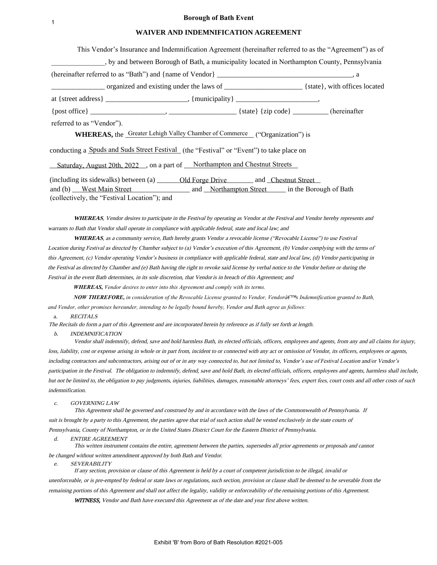#### **Borough of Bath Event**

#### **WAIVER AND INDEMNIFICATION AGREEMENT**

| $\mathbf{1}$                                                                                                                                                                                                                                                                                                                                                                                                                                                                                                                                                                                                                                                                                                                                                                                                                                                                                                                                                                                                                                                                                                                                                                                                                                                                                              |
|-----------------------------------------------------------------------------------------------------------------------------------------------------------------------------------------------------------------------------------------------------------------------------------------------------------------------------------------------------------------------------------------------------------------------------------------------------------------------------------------------------------------------------------------------------------------------------------------------------------------------------------------------------------------------------------------------------------------------------------------------------------------------------------------------------------------------------------------------------------------------------------------------------------------------------------------------------------------------------------------------------------------------------------------------------------------------------------------------------------------------------------------------------------------------------------------------------------------------------------------------------------------------------------------------------------|
| WAIVER AND INDEMNIFICATION AGREEMENT                                                                                                                                                                                                                                                                                                                                                                                                                                                                                                                                                                                                                                                                                                                                                                                                                                                                                                                                                                                                                                                                                                                                                                                                                                                                      |
| This Vendor's Insurance and Indemnification Agreement (hereinafter referred to as the "Agreement") as of                                                                                                                                                                                                                                                                                                                                                                                                                                                                                                                                                                                                                                                                                                                                                                                                                                                                                                                                                                                                                                                                                                                                                                                                  |
| by and between Borough of Bath, a municipality located in Northampton County, Pennsylvania                                                                                                                                                                                                                                                                                                                                                                                                                                                                                                                                                                                                                                                                                                                                                                                                                                                                                                                                                                                                                                                                                                                                                                                                                |
|                                                                                                                                                                                                                                                                                                                                                                                                                                                                                                                                                                                                                                                                                                                                                                                                                                                                                                                                                                                                                                                                                                                                                                                                                                                                                                           |
|                                                                                                                                                                                                                                                                                                                                                                                                                                                                                                                                                                                                                                                                                                                                                                                                                                                                                                                                                                                                                                                                                                                                                                                                                                                                                                           |
|                                                                                                                                                                                                                                                                                                                                                                                                                                                                                                                                                                                                                                                                                                                                                                                                                                                                                                                                                                                                                                                                                                                                                                                                                                                                                                           |
|                                                                                                                                                                                                                                                                                                                                                                                                                                                                                                                                                                                                                                                                                                                                                                                                                                                                                                                                                                                                                                                                                                                                                                                                                                                                                                           |
|                                                                                                                                                                                                                                                                                                                                                                                                                                                                                                                                                                                                                                                                                                                                                                                                                                                                                                                                                                                                                                                                                                                                                                                                                                                                                                           |
| referred to as "Vendor").                                                                                                                                                                                                                                                                                                                                                                                                                                                                                                                                                                                                                                                                                                                                                                                                                                                                                                                                                                                                                                                                                                                                                                                                                                                                                 |
| <b>WHEREAS</b> , the Greater Lehigh Valley Chamber of Commerce ("Organization") is                                                                                                                                                                                                                                                                                                                                                                                                                                                                                                                                                                                                                                                                                                                                                                                                                                                                                                                                                                                                                                                                                                                                                                                                                        |
| conducting a Spuds and Suds Street Festival (the "Festival" or "Event") to take place on                                                                                                                                                                                                                                                                                                                                                                                                                                                                                                                                                                                                                                                                                                                                                                                                                                                                                                                                                                                                                                                                                                                                                                                                                  |
| Saturday, August 20th, 2022 ., on a part of Northampton and Chestnut Streets                                                                                                                                                                                                                                                                                                                                                                                                                                                                                                                                                                                                                                                                                                                                                                                                                                                                                                                                                                                                                                                                                                                                                                                                                              |
| and (b) West Main Street and Morthampton Street in the Borough of Bath<br>(collectively, the "Festival Location"); and                                                                                                                                                                                                                                                                                                                                                                                                                                                                                                                                                                                                                                                                                                                                                                                                                                                                                                                                                                                                                                                                                                                                                                                    |
| <b>WHEREAS</b> , Vendor desires to participate in the Festival by operating as Vendor at the Festival and Vendor hereby represents and<br>varrants to Bath that Vendor shall operate in compliance with applicable federal, state and local law; and<br>WHEREAS, as a community service, Bath hereby grants Vendor a revocable license ("Revocable License") to use Festival<br>Location during Festival as directed by Chamber subject to (a) Vendor's execution of this Agreement, (b) Vendor complying with the terms of<br>his Agreement, (c) Vendor operating Vendor's business in compliance with applicable federal, state and local law, (d) Vendor participating in<br>he Festival as directed by Chamber and (e) Bath having the right to revoke said license by verbal notice to the Vendor before or during the<br>Festival in the event Bath determines, in its sole discretion, that Vendor is in breach of this Agreement; and<br><b>WHEREAS,</b> Vendor desires to enter into this Agreement and comply with its terms.<br><b>NOW THEREFORE,</b> in consideration of the Revocable License granted to Vendor, Vendorâ $f^{\text{TM}}$ s Indemnification granted to Bath,<br>ind Vendor, other promises hereunder, intending to be legally bound hereby, Vendor and Bath agree as follows: |
| <b>RECITALS</b><br>a.                                                                                                                                                                                                                                                                                                                                                                                                                                                                                                                                                                                                                                                                                                                                                                                                                                                                                                                                                                                                                                                                                                                                                                                                                                                                                     |
| The Recitals do form a part of this Agreement and are incorporated herein by reference as if fully set forth at length.<br>b.<br><i><b>INDEMNIFICATION</b></i><br>Vendor shall indemnify, defend, save and hold harmless Bath, its elected officials, officers, employees and agents, from any and all clain                                                                                                                                                                                                                                                                                                                                                                                                                                                                                                                                                                                                                                                                                                                                                                                                                                                                                                                                                                                              |
| loss, liability, cost or expense arising in whole or in part from, incident to or connected with any act or omission of Vendor, its officers, employees<br>including contractors and subcontractors, arising out of or in any way connected to, but not limited to, Vendor's use of Festival Location and/or Ver<br>participation in the Festival. The obligation to indemnify, defend, save and hold Bath, its elected officials, officers, employees and agents, harmless<br>but not be limited to, the obligation to pay judgments, injuries, liabilities, damages, reasonable attorneys' fees, expert fees, court costs and all other                                                                                                                                                                                                                                                                                                                                                                                                                                                                                                                                                                                                                                                                 |
| ndemnification.                                                                                                                                                                                                                                                                                                                                                                                                                                                                                                                                                                                                                                                                                                                                                                                                                                                                                                                                                                                                                                                                                                                                                                                                                                                                                           |
| GOVERNING LAW<br>c.<br>This Agreement shall be governed and construed by and in accordance with the laws of the Commonwealth of Pennsylvania. If<br>suit is brought by a party to this Agreement, the parties agree that trial of such action shall be vested exclusively in the state courts of<br>Pennsylvania, County of Northampton, or in the United States District Court for the Eastern District of Pennsylvania.                                                                                                                                                                                                                                                                                                                                                                                                                                                                                                                                                                                                                                                                                                                                                                                                                                                                                 |
| d.<br><b>ENTIRE AGREEMENT</b><br>This written instrument contains the entire, agreement between the parties, supersedes all prior agreements or proposals and cannot                                                                                                                                                                                                                                                                                                                                                                                                                                                                                                                                                                                                                                                                                                                                                                                                                                                                                                                                                                                                                                                                                                                                      |
| be changed without written amendment approved by both Bath and Vendor.<br><b>SEVERABILITY</b><br>e.<br>If any section, provision or clause of this Agreement is held by a court of competent jurisdiction to be illegal, invalid or                                                                                                                                                                                                                                                                                                                                                                                                                                                                                                                                                                                                                                                                                                                                                                                                                                                                                                                                                                                                                                                                       |
| unenforceable, or is pre-empted by federal or state laws or regulations, such section, provision or clause shall be deemed to be severable from the                                                                                                                                                                                                                                                                                                                                                                                                                                                                                                                                                                                                                                                                                                                                                                                                                                                                                                                                                                                                                                                                                                                                                       |
| remaining portions of this Agreement and shall not affect the legality, validity or enforceability of the remaining portions of this Agreement.<br><b>WITNESS</b> , Vendor and Bath have executed this Agreement as of the date and year first above written.                                                                                                                                                                                                                                                                                                                                                                                                                                                                                                                                                                                                                                                                                                                                                                                                                                                                                                                                                                                                                                             |
| Exhibit 'B' from Boro of Bath Resolution #2021-005                                                                                                                                                                                                                                                                                                                                                                                                                                                                                                                                                                                                                                                                                                                                                                                                                                                                                                                                                                                                                                                                                                                                                                                                                                                        |

Vendor shall indemnify, defend, save and hold harmless Bath, its elected officials, officers, employees and agents, from any and all claims for injury, loss, liability, cost or expense arising in whole or in part from, incident to or connected with any act or omission of Vendor, its officers, employees or agents, including contractors and subcontractors, arising out of or in any way connected to, but not limited to, Vendor's use of Festival Location and/or Vendor's participation in the Festival. The obligation to indemnify, defend, save and hold Bath, its elected officials, officers, employees and agents, harmless shall include, but not be limited to, the obligation to pay judgments, injuries, liabilities, damages, reasonable attorneys' fees, expert fees, court costs and all other costs of such indemnification.

- e. SEVERABILITY
	- If any section, provision or clause of this Agreement is held by a court of competent jurisdiction to be illegal, invalid or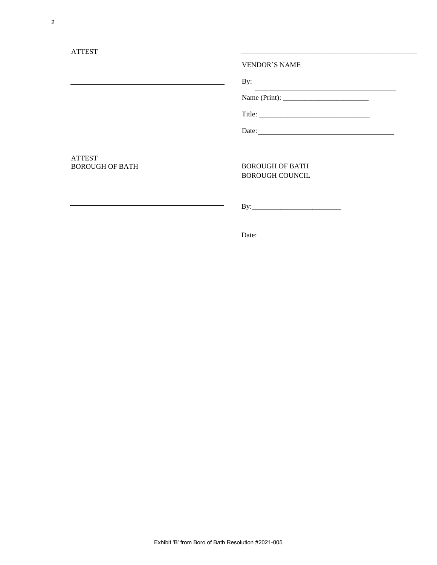|                                                                                                                                                                                                                               | <b>VENDOR'S NAME</b>                                                                                                   |  |
|-------------------------------------------------------------------------------------------------------------------------------------------------------------------------------------------------------------------------------|------------------------------------------------------------------------------------------------------------------------|--|
| <u> 1989 - Johann Barbara, martxa alemaniar amerikan a</u>                                                                                                                                                                    | By:                                                                                                                    |  |
|                                                                                                                                                                                                                               | <u> 1989 - Johann Stoff, deutscher Stoffen und der Stoffen und der Stoffen und der Stoffen und der Stoffen und der</u> |  |
|                                                                                                                                                                                                                               |                                                                                                                        |  |
|                                                                                                                                                                                                                               |                                                                                                                        |  |
| <b>ATTEST</b><br><b>BOROUGH OF BATH</b>                                                                                                                                                                                       | <b>BOROUGH OF BATH</b><br><b>BOROUGH COUNCIL</b>                                                                       |  |
| the control of the control of the control of the control of the control of the control of the control of the control of the control of the control of the control of the control of the control of the control of the control | $\mbox{By:}\quad\quad \quad \overbrace{\qquad \qquad }$<br>÷,                                                          |  |
|                                                                                                                                                                                                                               |                                                                                                                        |  |
|                                                                                                                                                                                                                               |                                                                                                                        |  |
|                                                                                                                                                                                                                               |                                                                                                                        |  |
|                                                                                                                                                                                                                               |                                                                                                                        |  |
|                                                                                                                                                                                                                               |                                                                                                                        |  |
|                                                                                                                                                                                                                               |                                                                                                                        |  |
|                                                                                                                                                                                                                               |                                                                                                                        |  |
|                                                                                                                                                                                                                               |                                                                                                                        |  |
|                                                                                                                                                                                                                               |                                                                                                                        |  |
|                                                                                                                                                                                                                               |                                                                                                                        |  |
|                                                                                                                                                                                                                               |                                                                                                                        |  |
|                                                                                                                                                                                                                               |                                                                                                                        |  |